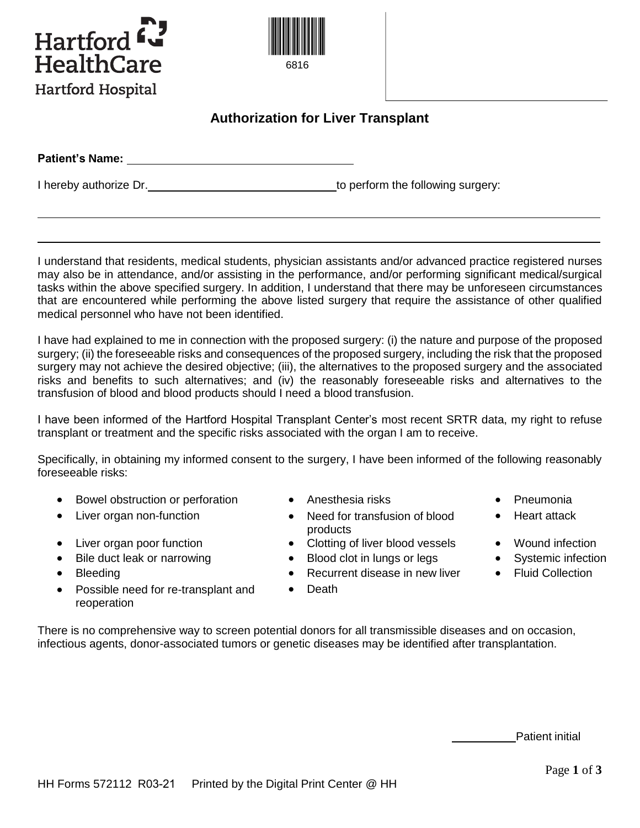



## **Authorization for Liver Transplant**

| <b>Patient's Name:</b> |                                   |
|------------------------|-----------------------------------|
|                        |                                   |
| I hereby authorize Dr. | to perform the following surgery: |

I understand that residents, medical students, physician assistants and/or advanced practice registered nurses may also be in attendance, and/or assisting in the performance, and/or performing significant medical/surgical tasks within the above specified surgery. In addition, I understand that there may be unforeseen circumstances that are encountered while performing the above listed surgery that require the assistance of other qualified medical personnel who have not been identified.

I have had explained to me in connection with the proposed surgery: (i) the nature and purpose of the proposed surgery; (ii) the foreseeable risks and consequences of the proposed surgery, including the risk that the proposed surgery may not achieve the desired objective; (iii), the alternatives to the proposed surgery and the associated risks and benefits to such alternatives; and (iv) the reasonably foreseeable risks and alternatives to the transfusion of blood and blood products should I need a blood transfusion.

I have been informed of the Hartford Hospital Transplant Center's most recent SRTR data, my right to refuse transplant or treatment and the specific risks associated with the organ I am to receive.

Specifically, in obtaining my informed consent to the surgery, I have been informed of the following reasonably foreseeable risks:

- Bowel obstruction or perforation Anesthesia risks Pneumonia
- 
- 
- Bile duct leak or narrowing Blood clot in lungs or legs Systemic infection
- 
- Possible need for re-transplant and reoperation
- 
- Liver organ non-function **Conserver Conserversity** Need for transfusion of blood products
- Liver organ poor function Clotting of liver blood vessels Wound infection
	-
- Bleeding **Collection Collection Collection Collection Collection Collection Collection** 
	- **•** Death
- 
- Heart attack
- 
- 
- 

There is no comprehensive way to screen potential donors for all transmissible diseases and on occasion, infectious agents, donor-associated tumors or genetic diseases may be identified after transplantation.

Patient initial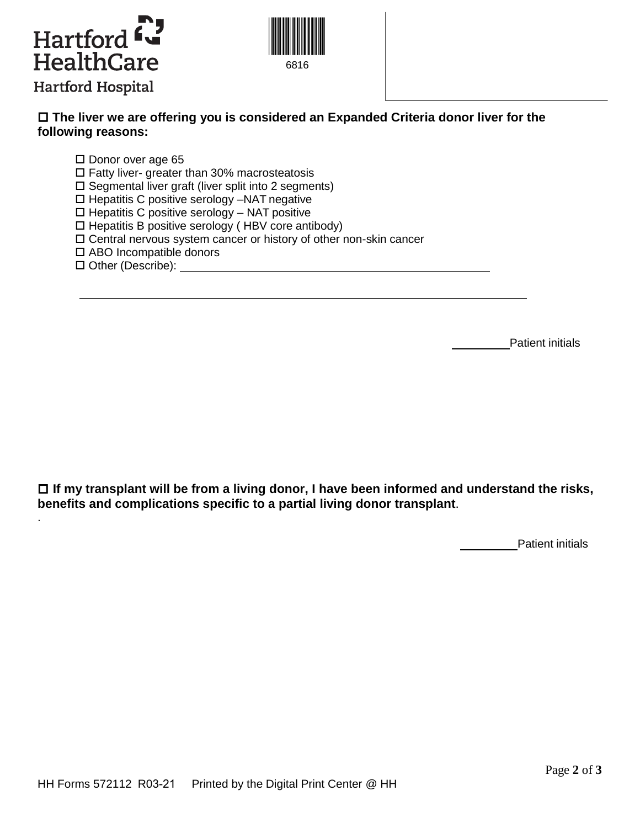



## **The liver we are offering you is considered an Expanded Criteria donor liver for the following reasons:**

 $\square$  Donor over age 65

 $\square$  Fatty liver- greater than 30% macrosteatosis

 $\square$  Segmental liver graft (liver split into 2 segments)

□ Hepatitis C positive serology -NAT negative

 $\Box$  Hepatitis C positive serology – NAT positive

 $\Box$  Hepatitis B positive serology (HBV core antibody)

Central nervous system cancer or history of other non-skin cancer

□ ABO Incompatible donors

Other (Describe):

.

Patient initials

 **If my transplant will be from a living donor, I have been informed and understand the risks, benefits and complications specific to a partial living donor transplant**.

Patient initials